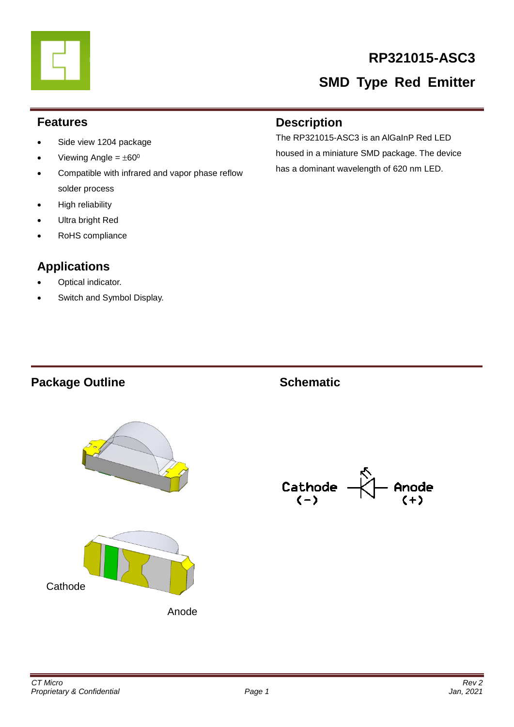# **RP321015-ASC3**

# **SMD Type Red Emitter**

#### **Features**

- Side view 1204 package
- Viewing Angle =  $\pm 60^{\circ}$
- Compatible with infrared and vapor phase reflow solder process
- High reliability
- Ultra bright Red
- RoHS compliance

## **Applications**

- Optical indicator.
- Switch and Symbol Display.

#### **Description**

The RP321015-ASC3 is an AlGaInP Red LED housed in a miniature SMD package. The device has a dominant wavelength of 620 nm LED.

# Package Outline **Contact Schematic**





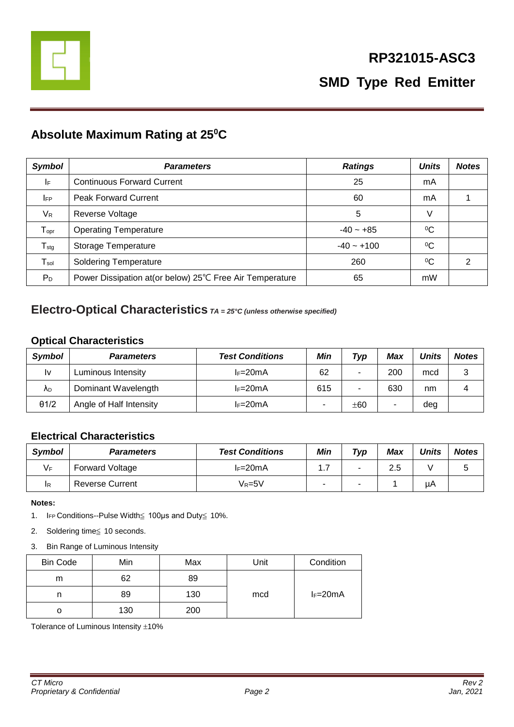

### **Absolute Maximum Rating at 25<sup>0</sup>C**

| <b>Symbol</b>                | <b>Parameters</b>                                         | <b>Ratings</b> | <b>Units</b> | <b>Notes</b> |
|------------------------------|-----------------------------------------------------------|----------------|--------------|--------------|
| I۴                           | <b>Continuous Forward Current</b>                         | 25             | mA           |              |
| <b>IFP</b>                   | <b>Peak Forward Current</b>                               | 60             | mA           |              |
| $V_{R}$                      | Reverse Voltage                                           | 5              | V            |              |
| ${\mathsf T}_{\mathsf{opr}}$ | <b>Operating Temperature</b>                              | $-40 - +85$    | $^{0}C$      |              |
| $T_{\text{stg}}$             | Storage Temperature                                       | $-40 - +100$   | $^{0}C$      |              |
| $\mathsf{T}_{\mathsf{sol}}$  | <b>Soldering Temperature</b>                              | 260            | $\rm ^{0}C$  | 2            |
| P <sub>D</sub>               | Power Dissipation at (or below) 25°C Free Air Temperature | 65             | mW           |              |

#### **Electro-Optical Characteristics** *TA = 25°C (unless otherwise specified)*

#### **Optical Characteristics**

| Symbol       | <b>Parameters</b>       | <b>Test Conditions</b> | Min | Typ | Max | <b>Units</b> | <b>Notes</b> |
|--------------|-------------------------|------------------------|-----|-----|-----|--------------|--------------|
| l٧           | Luminous Intensity      | $l = 20mA$             | 62  | ۰   | 200 | mcd          | 3            |
| ΛD           | Dominant Wavelength     | $l = 20mA$             | 615 |     | 630 | nm           |              |
| $\theta$ 1/2 | Angle of Half Intensity | $l = 20mA$             |     | ±60 |     | deg          |              |

#### **Electrical Characteristics**

| <b>Symbol</b> | <b>Parameters</b>      | <b>Test Conditions</b> | Min  | Typ | <b>Max</b> | <b>Units</b> | <b>Notes</b> |
|---------------|------------------------|------------------------|------|-----|------------|--------------|--------------|
| VF            | <b>Forward Voltage</b> | $l = 20mA$             | ı. 1 | ۰   | 2.5        |              |              |
| IR            | <b>Reverse Current</b> | Vr=5V                  |      | -   |            | μA           |              |

**Notes:** 

- 1. IFP Conditions--Pulse Width≦ 100μs and Duty≦ 10%.
- 2. Soldering time≦ 10 seconds.
- 3. Bin Range of Luminous Intensity

| <b>Bin Code</b> | Min | Max | Unit | Condition  |
|-----------------|-----|-----|------|------------|
| m               | 62  | 89  |      |            |
| n               | 89  | 130 | mcd  | $I_F=20mA$ |
| O               | 130 | 200 |      |            |

Tolerance of Luminous Intensity  $\pm 10\%$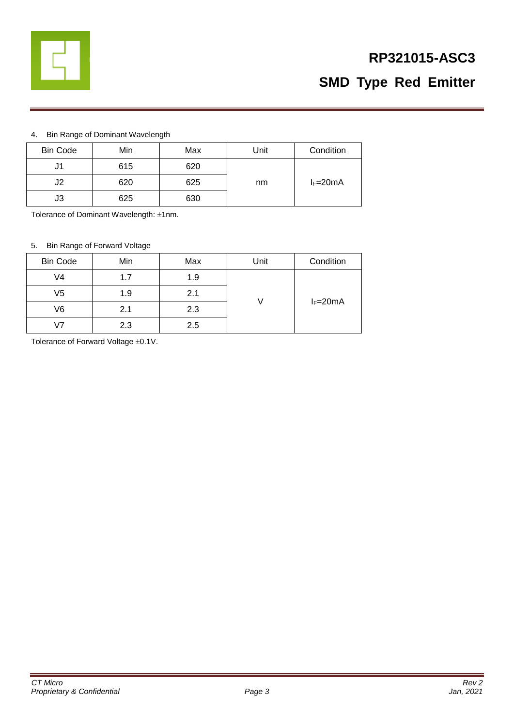

# **RP321015-ASC3 SMD Type Red Emitter**

#### 4. Bin Range of Dominant Wavelength

| <b>Bin Code</b> | Min | Max | Unit | Condition  |
|-----------------|-----|-----|------|------------|
| J1              | 615 | 620 |      |            |
| J2              | 620 | 625 | nm   | $I_F=20mA$ |
| J3              | 625 | 630 |      |            |

Tolerance of Dominant Wavelength: ±1nm.

#### 5. Bin Range of Forward Voltage

| <b>Bin Code</b> | Min | Max | Unit | Condition  |
|-----------------|-----|-----|------|------------|
| V4              | 1.7 | 1.9 |      |            |
| V5              | 1.9 | 2.1 |      |            |
| V6              | 2.1 | 2.3 |      | $I_F=20mA$ |
| 17              | 2.3 | 2.5 |      |            |

Tolerance of Forward Voltage  $\pm 0.1V$ .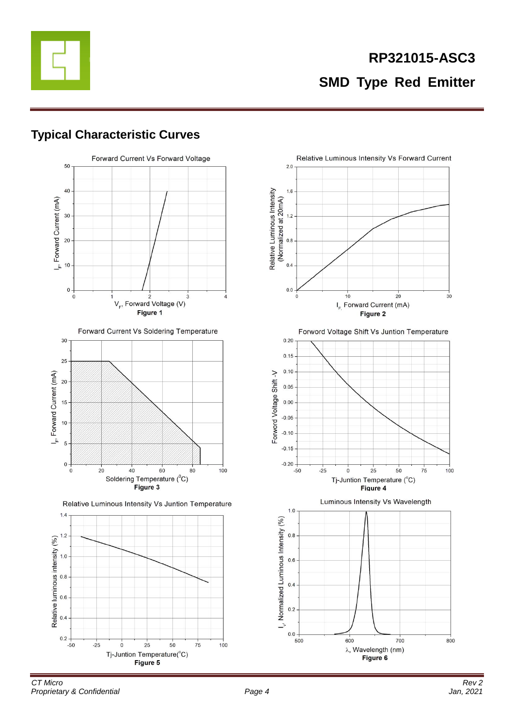

### **Typical Characteristic Curves**



Forward Current Vs Soldering Temperature



Relative Luminous Intensity Vs Juntion Temperature



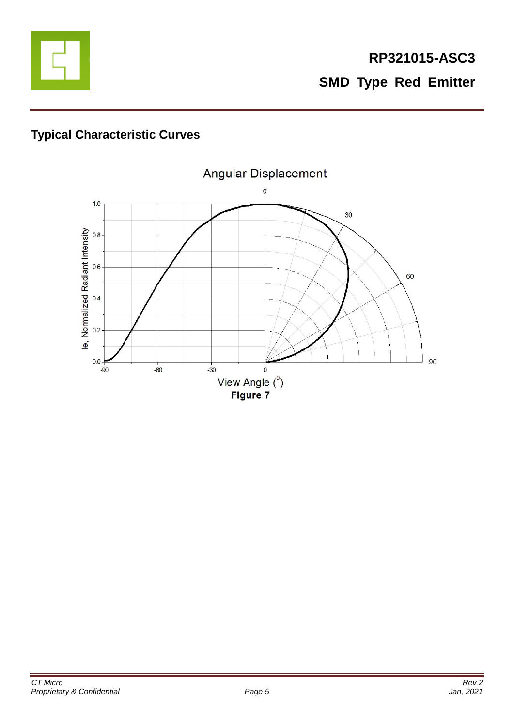

# **Typical Characteristic Curves**

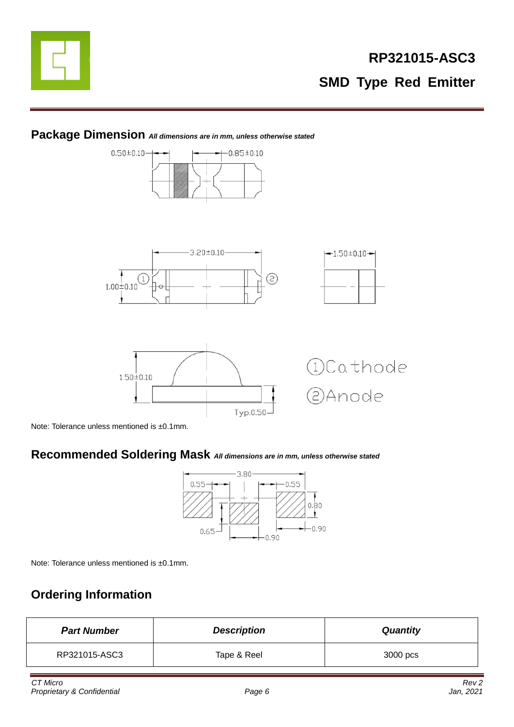



### **Package Dimension** *All dimensions are in mm, unless otherwise stated*

Note: Tolerance unless mentioned is ±0.1mm.

### **Recommended Soldering Mask** *All dimensions are in mm, unless otherwise stated*



Note: Tolerance unless mentioned is ±0.1mm.

### **Ordering Information**

| <b>Part Number</b> | <b>Description</b> | <b>Quantity</b> |
|--------------------|--------------------|-----------------|
| RP321015-ASC3      | Tape & Reel        | 3000 pcs        |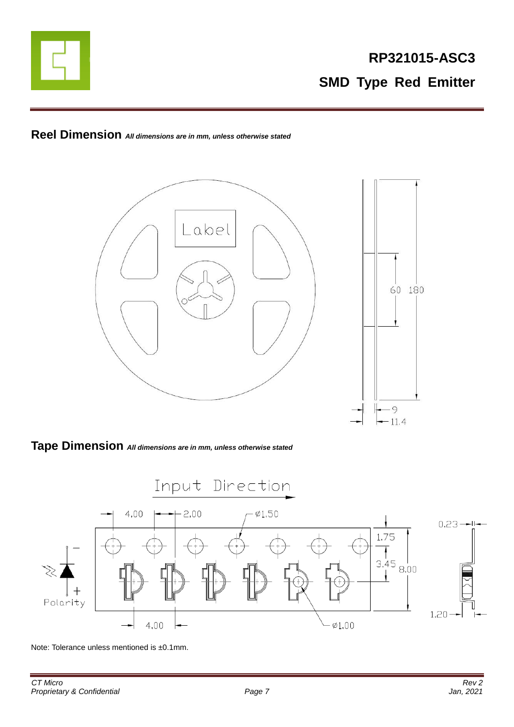

**Reel Dimension** *All dimensions are in mm, unless otherwise stated*



#### **Tape Dimension** *All dimensions are in mm, unless otherwise stated*



Note: Tolerance unless mentioned is ±0.1mm.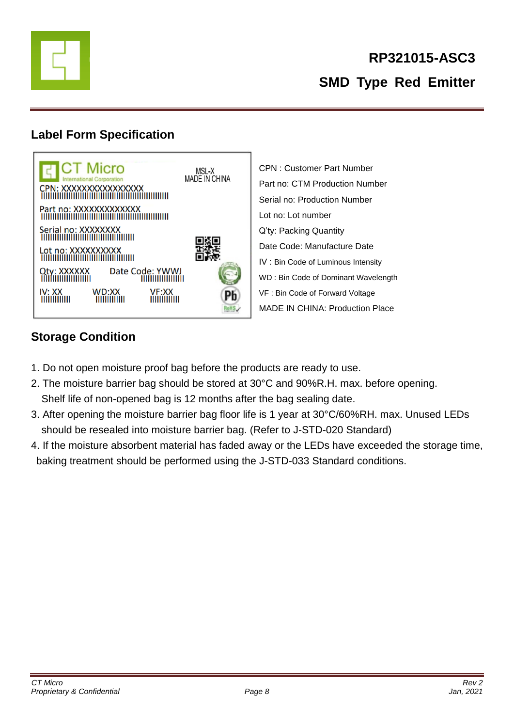

### **Label Form Specification**



CPN : Customer Part Number Part no: CTM Production Number Serial no: Production Number Lot no: Lot number Q'ty: Packing Quantity Date Code: Manufacture Date IV : Bin Code of Luminous Intensity WD : Bin Code of Dominant Wavelength VF : Bin Code of Forward Voltage MADE IN CHINA: Production Place

## **Storage Condition**

- 1. Do not open moisture proof bag before the products are ready to use.
- 2. The moisture barrier bag should be stored at 30°C and 90%R.H. max. before opening. Shelf life of non-opened bag is 12 months after the bag sealing date.
- 3. After opening the moisture barrier bag floor life is 1 year at 30°C/60%RH. max. Unused LEDs should be resealed into moisture barrier bag. (Refer to J-STD-020 Standard)
- 4. If the moisture absorbent material has faded away or the LEDs have exceeded the storage time, baking treatment should be performed using the J-STD-033 Standard conditions.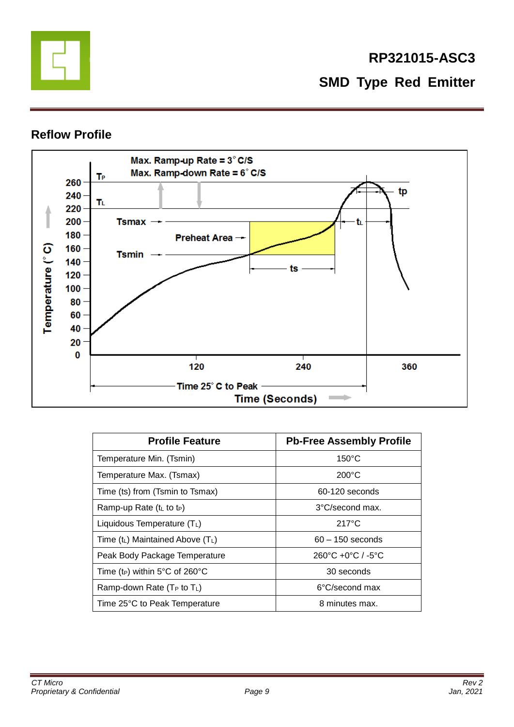

# **RP321015-ASC3 SMD Type Red Emitter**

### **Reflow Profile**



| <b>Profile Feature</b>                     | <b>Pb-Free Assembly Profile</b>                   |
|--------------------------------------------|---------------------------------------------------|
| Temperature Min. (Tsmin)                   | $150^{\circ}$ C                                   |
| Temperature Max. (Tsmax)                   | $200^{\circ}$ C                                   |
| Time (ts) from (Tsmin to Tsmax)            | 60-120 seconds                                    |
| Ramp-up Rate $(tL$ to t <sub>P</sub> )     | 3°C/second max.                                   |
| Liquidous Temperature $(T_L)$              | $217^{\circ}$ C                                   |
| Time $(t_L)$ Maintained Above $(T_L)$      | $60 - 150$ seconds                                |
| Peak Body Package Temperature              | $260^{\circ}$ C +0 $^{\circ}$ C / -5 $^{\circ}$ C |
| Time (t <sub>P</sub> ) within 5°C of 260°C | 30 seconds                                        |
| Ramp-down Rate ( $T_P$ to $T_L$ )          | 6°C/second max                                    |
| Time 25°C to Peak Temperature              | 8 minutes max.                                    |